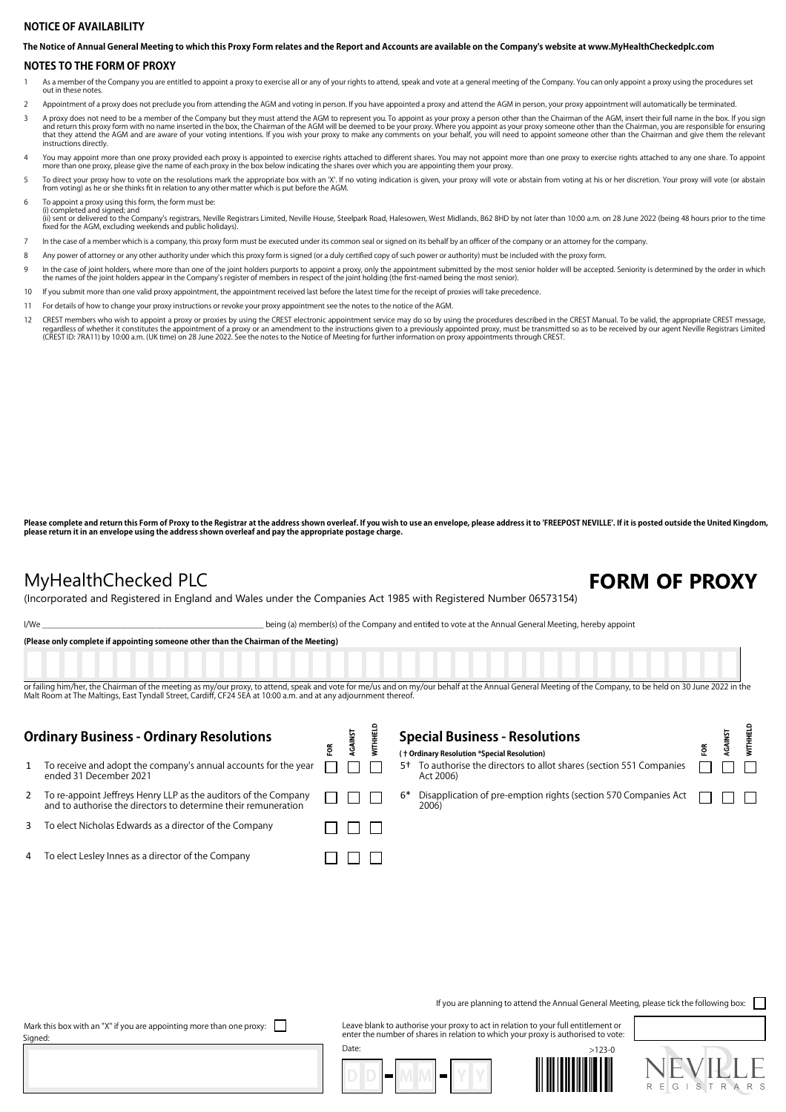## **NOTICE OF AVAILABILITY**

**The Notice of Annual General Meeting to which this Proxy Form relates and the Report and Accounts are available on the Company's website at www.MyHealthCheckedplc.com**

### **NOTES TO THE FORM OF PROXY**

- 1 As a member of the Company you are entitled to appoint a proxy to exercise all or any of your rights to attend, speak and vote at a general meeting of the Company. You can only appoint a proxy using the procedures set out in these notes.
- 2 Appointment of a proxy does not preclude you from attending the AGM and voting in person. If you have appointed a proxy and attend the AGM in person, your proxy appointment will automatically be terminated.
- A proxy does not need to be a member of the Company but they must attend the AGM to represent you. To appoint as your proxy a person other than the Chairman of the AGM, insert their full name in the box. If you sign and re instructions directly.
- You may appoint more than one proxy provided each proxy is appointed to exercise rights attached to different shares. You may not appoint more than one proxy to exercise rights attached to any one share. To appoint more th
- 5 To direct your proxy how to vote on the resolutions mark the appropriate box with an 'X'. If no voting indication is given, your proxy will vote or abstain from voting at his or her discretion. Your proxy will vote (or a
- 6 To appoint a proxy using this form, the form must be: (i) completed and signed; and
- (ii) sent or delivered to the Company's registrars, Neville Registrars Limited, Neville House, Steelpark Road, Halesowen, West Midlands, B62 8HD by not later than 10:00 a.m. on 28 June 2022 (being 48 hours prior to the tim
- 7 In the case of a member which is a company, this proxy form must be executed under its common seal or signed on its behalf by an officer of the company or an attorney for the company.
- 8 Any power of attorney or any other authority under which this proxy form is signed (or a duly certified copy of such power or authority) must be included with the proxy form.
- In the case of joint holders, where more than one of the joint holders purports to appoint a proxy, only the appointment submitted by the most senior holder will be accepted. Seniority is determined by the order in which<br>t
- 10 If you submit more than one valid proxy appointment, the appointment received last before the latest time for the receipt of proxies will take precedence
- 11 For details of how to change your proxy instructions or revoke your proxy appointment see the notes to the notice of the AGM.
- CREST members who wish to appoint a proxy or proxies by using the CREST electronic appointment service may do so by using the procedures described in the CREST Manual. To be valid, the appropriate CREST message, or exparal

Please complete and return this Form of Proxy to the Registrar at the address shown overleaf. If you wish to use an envelope, please address it to 'FREEPOST NEVILLE'. If it is posted outside the United Kingdom, **please return it in an envelope using the address shown overleaf and pay the appropriate postage charge.**

## MyHealthChecked PLC **FORM OF PROXY**

 $\frac{\Theta}{\Omega}$ 

 $\mathbf{r}$ 

(Incorporated and Registered in England and Wales under the Companies Act 1985 with Registered Number 06573154)

I/We state of the Company and entitled to vote at the Annual General Meeting, hereby appoint

**(Please only complete if appointing someone other than the Chairman of the Meeting)**

or failing him/her, the Chairman of the meeting as my/our proxy, to attend, speak and vote for me/us and on my/our behalf at the Annual General Meeting of the Company, to be held on 30 June 2022 in the Malt Room at The Maltings, East Tyndall Street, Cardiff, CF24 5EA at 10:00 a.m. and at any adjournment thereof

 $\mathbf{P}$ 

 $\mathbf{L}$ 

| <b>Ordinary Business - Ordinary Resolutions</b>                                                                                   | ទី | AGAINS | Spec<br>( + Ordin |
|-----------------------------------------------------------------------------------------------------------------------------------|----|--------|-------------------|
| To receive and adopt the company's annual accounts for the year<br>ended 31 December 2021                                         |    |        | To<br>A٥          |
| To re-appoint Jeffreys Henry LLP as the auditors of the Company<br>and to authorise the directors to determine their remuneration |    |        | Di<br>6*          |
| To elect Nicholas Edwards as a director of the Company                                                                            |    |        |                   |
| To elect Lesley Innes as a director of the Company                                                                                |    |        |                   |
|                                                                                                                                   |    |        |                   |

|  | <b>Special Business - Resolutions</b>                                                         | GAINS | Ě |
|--|-----------------------------------------------------------------------------------------------|-------|---|
|  | († Ordinary Resolution *Special Resolution)                                                   |       |   |
|  | 5 <sup>+</sup> To authorise the directors to allot shares (section 551 Companies<br>Act 2006) |       |   |
|  | Disapplication of pre-emption rights (section 570 Companies Act $\Box$<br>2006)               |       |   |

If you are planning to attend the Annual General Meeting, please tick the following box:

Mark this box with an "X" if you are appointing more than one proxy:  $\Box$ 

Date: Mark this box with an "X" if you are appointing more than one proxy: [1] Leave blank to authorise your proxy to act in relation to your full entitlement or<br>Signed: https://www.inter.com/web/2012/web/2012/web/2012/web/2012/